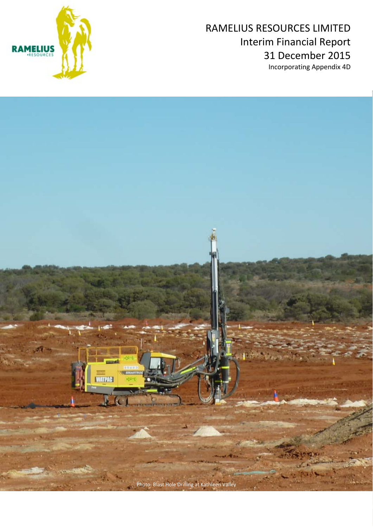



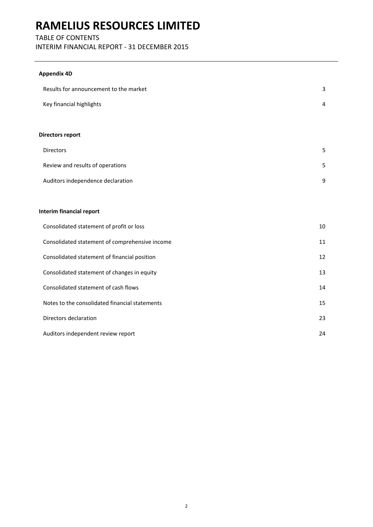## TABLE OF CONTENTS

INTERIM FINANCIAL REPORT ‐ 31 DECEMBER 2015

## **Appendix 4D**

| Results for announcement to the market         | 3  |
|------------------------------------------------|----|
| Key financial highlights                       | 4  |
|                                                |    |
| Directors report                               |    |
| Directors                                      | 5  |
| Review and results of operations               | 5  |
| Auditors independence declaration              | 9  |
|                                                |    |
| Interim financial report                       |    |
| Consolidated statement of profit or loss       | 10 |
| Consolidated statement of comprehensive income | 11 |
| Consolidated statement of financial position   | 12 |
| Consolidated statement of changes in equity    | 13 |
| Consolidated statement of cash flows           | 14 |
| Notes to the consolidated financial statements | 15 |
| Directors declaration                          | 23 |
| Auditors independent review report             | 24 |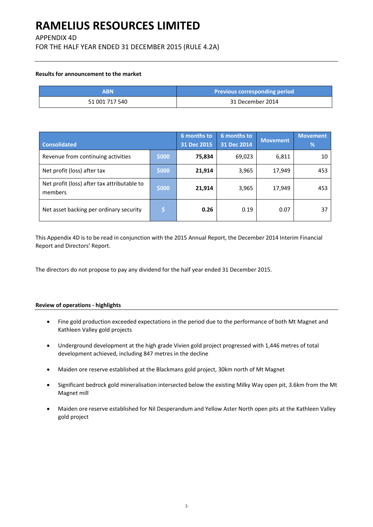APPENDIX 4D

FOR THE HALF YEAR ENDED 31 DECEMBER 2015 (RULE 4.2A)

### **Results for announcement to the market**

| ΔRN            | Previous corresponding period |
|----------------|-------------------------------|
| 51 001 717 540 | 31 December 2014              |

| <b>Consolidated</b>                                    |       | 6 months to<br>31 Dec 2015 | 6 months to<br>31 Dec 2014 | <b>Movement</b> | <b>Movement</b><br>% |
|--------------------------------------------------------|-------|----------------------------|----------------------------|-----------------|----------------------|
| Revenue from continuing activities                     | \$000 | 75,834                     | 69,023                     | 6,811           | 10                   |
| Net profit (loss) after tax                            | \$000 | 21,914                     | 3,965                      | 17,949          | 453                  |
| Net profit (loss) after tax attributable to<br>members | \$000 | 21,914                     | 3,965                      | 17,949          | 453                  |
| Net asset backing per ordinary security                |       | 0.26                       | 0.19                       | 0.07            | 37                   |

This Appendix 4D is to be read in conjunction with the 2015 Annual Report, the December 2014 Interim Financial Report and Directors' Report.

The directors do not propose to pay any dividend for the half year ended 31 December 2015.

### **Review of operations ‐ highlights**

- Fine gold production exceeded expectations in the period due to the performance of both Mt Magnet and Kathleen Valley gold projects
- Underground development at the high grade Vivien gold project progressed with 1,446 metres of total development achieved, including 847 metres in the decline
- Maiden ore reserve established at the Blackmans gold project, 30km north of Mt Magnet
- Significant bedrock gold mineralisation intersected below the existing Milky Way open pit, 3.6km from the Mt Magnet mill
- Maiden ore reserve established for Nil Desperandum and Yellow Aster North open pits at the Kathleen Valley gold project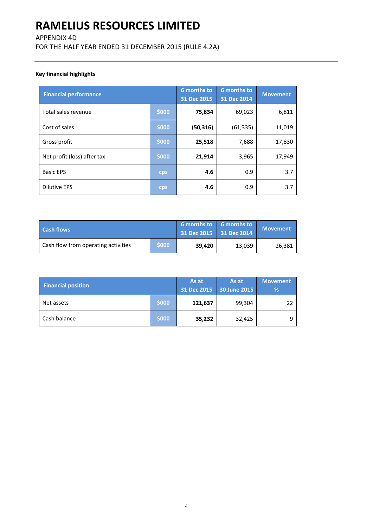## APPENDIX 4D

FOR THE HALF YEAR ENDED 31 DECEMBER 2015 (RULE 4.2A)

## **Key financial highlights**

| <b>Financial performance</b> |       | 6 months to<br>31 Dec 2015 | 6 months to<br>31 Dec 2014 | <b>Movement</b> |
|------------------------------|-------|----------------------------|----------------------------|-----------------|
| Total sales revenue          | \$000 | 75,834                     | 69,023                     | 6,811           |
| Cost of sales                | \$000 | (50, 316)                  | (61, 335)                  | 11,019          |
| Gross profit                 | \$000 | 25,518                     | 7,688                      | 17,830          |
| Net profit (loss) after tax  | \$000 | 21,914                     | 3,965                      | 17,949          |
| <b>Basic EPS</b>             | cps   | 4.6                        | 0.9                        | 3.7             |
| Dilutive EPS                 | cps   | 4.6                        | 0.9                        | 3.7             |

| <b>Cash flows</b>                   |       | 6 months to $\overline{6}$ 6 months to<br>31 Dec 2015 31 Dec 2014 |        | <b>Movement</b> |
|-------------------------------------|-------|-------------------------------------------------------------------|--------|-----------------|
| Cash flow from operating activities | \$000 | 39,420                                                            | 13,039 | 26,381          |

| <b>Financial position</b> |       | As at   | As at<br>31 Dec 2015 30 June 2015 | <b>Movement</b><br>% |
|---------------------------|-------|---------|-----------------------------------|----------------------|
| Net assets                | \$000 | 121,637 | 99,304                            | 22                   |
| Cash balance              | \$000 | 35,232  | 32,425                            | 9                    |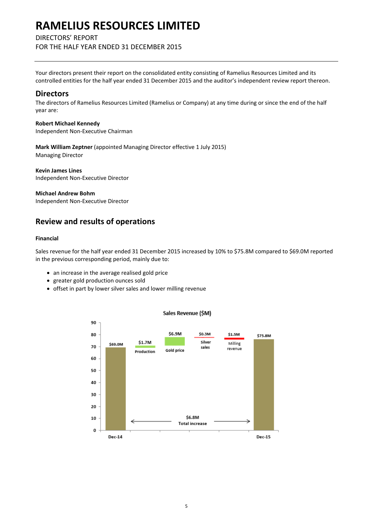## DIRECTORS' REPORT

FOR THE HALF YEAR ENDED 31 DECEMBER 2015

Your directors present their report on the consolidated entity consisting of Ramelius Resources Limited and its controlled entities for the half year ended 31 December 2015 and the auditor's independent review report thereon.

## **Directors**

The directors of Ramelius Resources Limited (Ramelius or Company) at any time during or since the end of the half year are:

**Robert Michael Kennedy** Independent Non‐Executive Chairman

**Mark William Zeptner** (appointed Managing Director effective 1 July 2015) Managing Director

**Kevin James Lines**  Independent Non‐Executive Director

**Michael Andrew Bohm**

Independent Non‐Executive Director

## **Review and results of operations**

### **Financial**

Sales revenue for the half year ended 31 December 2015 increased by 10% to \$75.8M compared to \$69.0M reported in the previous corresponding period, mainly due to:

- an increase in the average realised gold price
- greater gold production ounces sold
- offset in part by lower silver sales and lower milling revenue



### Sales Revenue (\$M)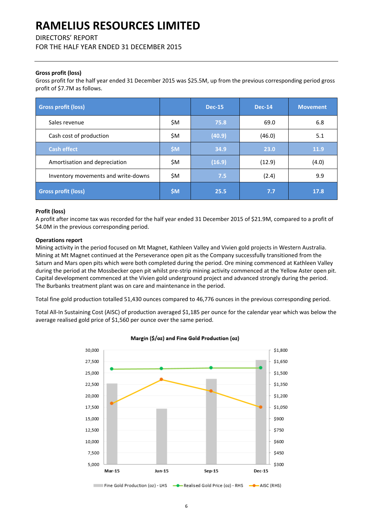DIRECTORS' REPORT

FOR THE HALF YEAR ENDED 31 DECEMBER 2015

## **Gross profit (loss)**

Gross profit for the half year ended 31 December 2015 was \$25.5M, up from the previous corresponding period gross profit of \$7.7M as follows.

| <b>Gross profit (loss)</b>          |       | <b>Dec-15</b> | <b>Dec-14</b> | <b>Movement</b> |
|-------------------------------------|-------|---------------|---------------|-----------------|
| Sales revenue                       | \$M   | 75.8          | 69.0          | 6.8             |
| Cash cost of production             | \$M   | (40.9)        | (46.0)        | 5.1             |
| <b>Cash effect</b>                  | \$M\$ | 34.9          | 23.0          | 11.9            |
| Amortisation and depreciation       | \$M   | (16.9)        | (12.9)        | (4.0)           |
| Inventory movements and write-downs | \$M   | 7.5           | (2.4)         | 9.9             |
| <b>Gross profit (loss)</b>          | \$M\$ | 25.5          | 7.7           | 17.8            |

### **Profit (loss)**

A profit after income tax was recorded for the half year ended 31 December 2015 of \$21.9M, compared to a profit of \$4.0M in the previous corresponding period.

### **Operations report**

Mining activity in the period focused on Mt Magnet, Kathleen Valley and Vivien gold projects in Western Australia. Mining at Mt Magnet continued at the Perseverance open pit as the Company successfully transitioned from the Saturn and Mars open pits which were both completed during the period. Ore mining commenced at Kathleen Valley during the period at the Mossbecker open pit whilst pre-strip mining activity commenced at the Yellow Aster open pit. Capital development commenced at the Vivien gold underground project and advanced strongly during the period. The Burbanks treatment plant was on care and maintenance in the period.

Total fine gold production totalled 51,430 ounces compared to 46,776 ounces in the previous corresponding period.

Total All‐In Sustaining Cost (AISC) of production averaged \$1,185 per ounce for the calendar year which was below the average realised gold price of \$1,560 per ounce over the same period.



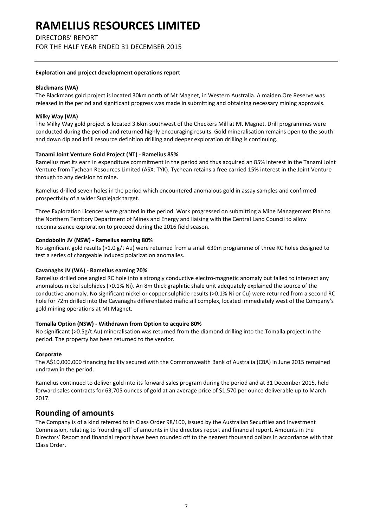DIRECTORS' REPORT

FOR THE HALF YEAR ENDED 31 DECEMBER 2015

### **Exploration and project development operations report**

### **Blackmans (WA)**

The Blackmans gold project is located 30km north of Mt Magnet, in Western Australia. A maiden Ore Reserve was released in the period and significant progress was made in submitting and obtaining necessary mining approvals.

### **Milky Way (WA)**

The Milky Way gold project is located 3.6km southwest of the Checkers Mill at Mt Magnet. Drill programmes were conducted during the period and returned highly encouraging results. Gold mineralisation remains open to the south and down dip and infill resource definition drilling and deeper exploration drilling is continuing.

### **Tanami Joint Venture Gold Project (NT) ‐ Ramelius 85%**

Ramelius met its earn in expenditure commitment in the period and thus acquired an 85% interest in the Tanami Joint Venture from Tychean Resources Limited (ASX: TYK). Tychean retains a free carried 15% interest in the Joint Venture through to any decision to mine.

Ramelius drilled seven holes in the period which encountered anomalous gold in assay samples and confirmed prospectivity of a wider Suplejack target.

Three Exploration Licences were granted in the period. Work progressed on submitting a Mine Management Plan to the Northern Territory Department of Mines and Energy and liaising with the Central Land Council to allow reconnaissance exploration to proceed during the 2016 field season.

### **Condobolin JV (NSW) ‐ Ramelius earning 80%**

No significant gold results (>1.0 g/t Au) were returned from a small 639m programme of three RC holes designed to test a series of chargeable induced polarization anomalies.

### **Cavanaghs JV (WA) ‐ Ramelius earning 70%**

Ramelius drilled one angled RC hole into a strongly conductive electro-magnetic anomaly but failed to intersect any anomalous nickel sulphides (>0.1% Ni). An 8m thick graphitic shale unit adequately explained the source of the conductive anomaly. No significant nickel or copper sulphide results (>0.1% Ni or Cu) were returned from a second RC hole for 72m drilled into the Cavanaghs differentiated mafic sill complex, located immediately west of the Company's gold mining operations at Mt Magnet.

### **Tomalla Option (NSW) ‐ Withdrawn from Option to acquire 80%**

No significant (>0.5g/t Au) mineralisation was returned from the diamond drilling into the Tomalla project in the period. The property has been returned to the vendor.

### **Corporate**

The A\$10,000,000 financing facility secured with the Commonwealth Bank of Australia (CBA) in June 2015 remained undrawn in the period.

Ramelius continued to deliver gold into its forward sales program during the period and at 31 December 2015, held forward sales contracts for 63,705 ounces of gold at an average price of \$1,570 per ounce deliverable up to March 2017.

## **Rounding of amounts**

The Company is of a kind referred to in Class Order 98/100, issued by the Australian Securities and Investment Commission, relating to 'rounding off' of amounts in the directors report and financial report. Amounts in the Directors' Report and financial report have been rounded off to the nearest thousand dollars in accordance with that Class Order.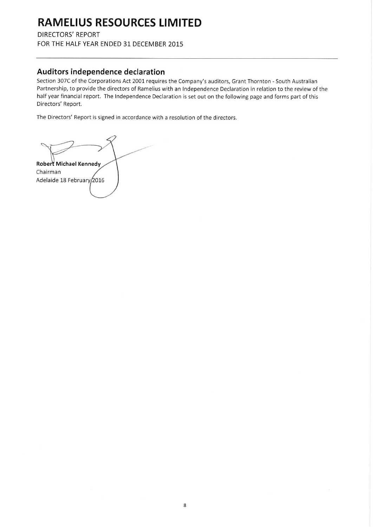**DIRECTORS' REPORT** 

FOR THE HALF YEAR ENDED 31 DECEMBER 2015

## Auditors independence declaration

Section 307C of the Corporations Act 2001 requires the Company's auditors, Grant Thornton - South Australian Partnership, to provide the directors of Ramelius with an Independence Declaration in relation to the review of the half year financial report. The Independence Declaration is set out on the following page and forms part of this Directors' Report.

The Directors' Report is signed in accordance with a resolution of the directors.

Robert Michael Kennedy Chairman Adelaide 18 February 2016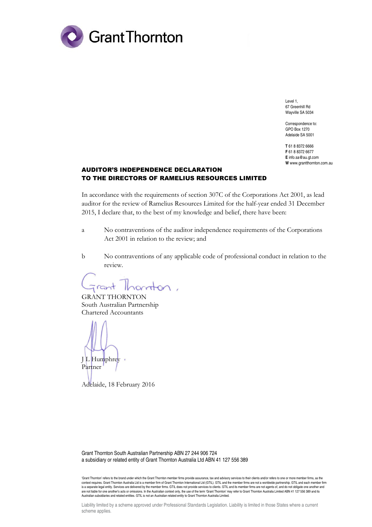

Level 1, 67 Greenhill Rd Wayville SA 5034

Correspondence to: GPO Box 1270 Adelaide SA 5001

**T** 61 8 8372 6666 **F** 61 8 8372 6677 **E** info.sa@au.gt.com **W** www.grantthornton.com.au

## AUDITOR'S INDEPENDENCE DECLARATION TO THE DIRECTORS OF RAMELIUS RESOURCES LIMITED

In accordance with the requirements of section 307C of the Corporations Act 2001, as lead auditor for the review of Ramelius Resources Limited for the half-year ended 31 December 2015, I declare that, to the best of my knowledge and belief, there have been:

- a No contraventions of the auditor independence requirements of the Corporations Act 2001 in relation to the review; and
- b No contraventions of any applicable code of professional conduct in relation to the review.

Thornton, rant

GRANT THORNTON South Australian Partnership Chartered Accountants

J L Humphrey Partner

Adelaide, 18 February 2016

Grant Thornton South Australian Partnership ABN 27 244 906 724 a subsidiary or related entity of Grant Thornton Australia Ltd ABN 41 127 556 389

'Grant Thornton' refers to the brand under which the Grant Thornton member firms provide assurance, tax and advisory services to their clients and/or refers to one or more member firms, as the context requires. Grant Thornton Australia Ltd is a member firm of Grant Thornton International Ltd (GTIL). GTIL and the member firms are not a worldwide partnership. GTIL and each member firm<br>is a separate legal entity. S are not liable for one another's acts or omissions. In the Australian context only, the use of the term 'Grant Thornton' may refer to Grant Thornton Australia Limited ABN 41 127 556 389 and its<br>Australian subsidiaries and

Liability limited by a scheme approved under Professional Standards Legislation. Liability is limited in those States where a current scheme applies.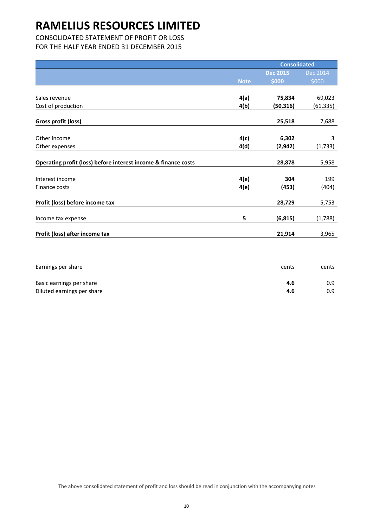CONSOLIDATED STATEMENT OF PROFIT OR LOSS

FOR THE HALF YEAR ENDED 31 DECEMBER 2015

|                                                                |             | <b>Consolidated</b> |           |
|----------------------------------------------------------------|-------------|---------------------|-----------|
|                                                                |             | <b>Dec 2015</b>     | Dec 2014  |
|                                                                | <b>Note</b> | \$000               | \$000     |
|                                                                |             |                     |           |
| Sales revenue                                                  | 4(a)        | 75,834              | 69,023    |
| Cost of production                                             | 4(b)        | (50, 316)           | (61, 335) |
| Gross profit (loss)                                            |             | 25,518              | 7,688     |
|                                                                |             |                     |           |
| Other income                                                   | 4(c)        | 6,302               | 3         |
| Other expenses                                                 | 4(d)        | (2,942)             | (1, 733)  |
| Operating profit (loss) before interest income & finance costs |             | 28,878              | 5,958     |
|                                                                |             |                     |           |
| Interest income                                                | 4(e)        | 304                 | 199       |
| Finance costs                                                  | 4(e)        | (453)               | (404)     |
| Profit (loss) before income tax                                |             | 28,729              | 5,753     |
| Income tax expense                                             | 5           | (6, 815)            | (1,788)   |
| Profit (loss) after income tax                                 |             | 21,914              | 3,965     |
|                                                                |             |                     |           |

| Earnings per share         | cents | cents |
|----------------------------|-------|-------|
| Basic earnings per share   | 4.6   | 0.9   |
| Diluted earnings per share | 4.6   | 0.9   |

The above consolidated statement of profit and loss should be read in conjunction with the accompanying notes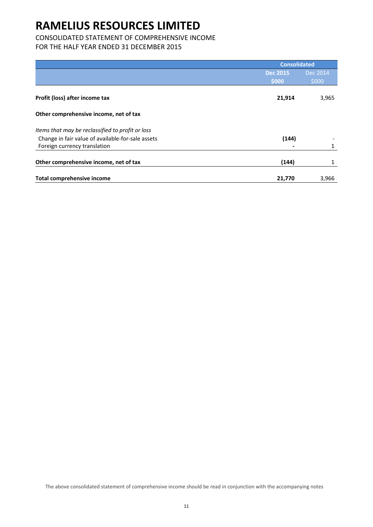## CONSOLIDATED STATEMENT OF COMPREHENSIVE INCOME

FOR THE HALF YEAR ENDED 31 DECEMBER 2015

|                                                   | <b>Consolidated</b> |          |  |
|---------------------------------------------------|---------------------|----------|--|
|                                                   | <b>Dec 2015</b>     | Dec 2014 |  |
|                                                   | \$000               | \$000    |  |
| Profit (loss) after income tax                    | 21,914              | 3,965    |  |
| Other comprehensive income, net of tax            |                     |          |  |
| Items that may be reclassified to profit or loss  |                     |          |  |
| Change in fair value of available-for-sale assets | (144)               |          |  |
| Foreign currency translation                      |                     | 1        |  |
| Other comprehensive income, net of tax            | (144)               |          |  |
| <b>Total comprehensive income</b>                 | 21,770              | 3,966    |  |

The above consolidated statement of comprehensive income should be read in conjunction with the accompanying notes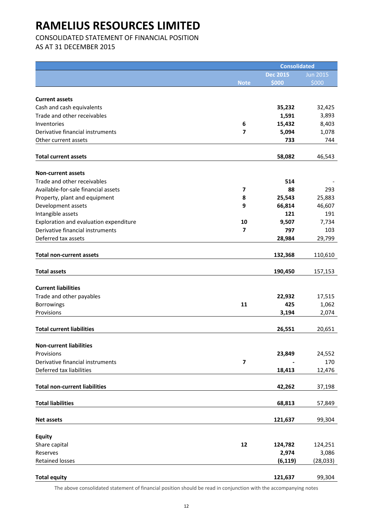CONSOLIDATED STATEMENT OF FINANCIAL POSITION

AS AT 31 DECEMBER 2015

|                                        |                         | <b>Consolidated</b> |                 |
|----------------------------------------|-------------------------|---------------------|-----------------|
|                                        |                         | <b>Dec 2015</b>     | <b>Jun 2015</b> |
|                                        | <b>Note</b>             | \$000               | \$000           |
|                                        |                         |                     |                 |
| <b>Current assets</b>                  |                         |                     |                 |
| Cash and cash equivalents              |                         | 35,232              | 32,425          |
| Trade and other receivables            |                         | 1,591               | 3,893           |
| Inventories                            | 6                       | 15,432              | 8,403           |
| Derivative financial instruments       | 7                       | 5,094               | 1,078           |
| Other current assets                   |                         | 733                 | 744             |
| <b>Total current assets</b>            |                         | 58,082              | 46,543          |
|                                        |                         |                     |                 |
| <b>Non-current assets</b>              |                         |                     |                 |
| Trade and other receivables            |                         | 514                 |                 |
| Available-for-sale financial assets    | $\overline{\mathbf{z}}$ | 88                  | 293             |
| Property, plant and equipment          | 8                       | 25,543              | 25,883          |
| Development assets                     | 9                       | 66,814              | 46,607          |
| Intangible assets                      |                         | 121                 | 191             |
| Exploration and evaluation expenditure | 10                      | 9,507               | 7,734           |
| Derivative financial instruments       | 7                       | 797                 | 103             |
| Deferred tax assets                    |                         | 28,984              | 29,799          |
|                                        |                         |                     |                 |
| <b>Total non-current assets</b>        |                         | 132,368             | 110,610         |
|                                        |                         |                     |                 |
| <b>Total assets</b>                    |                         | 190,450             | 157,153         |
| <b>Current liabilities</b>             |                         |                     |                 |
| Trade and other payables               |                         |                     |                 |
|                                        | 11                      | 22,932<br>425       | 17,515<br>1,062 |
| <b>Borrowings</b><br>Provisions        |                         | 3,194               |                 |
|                                        |                         |                     | 2,074           |
| <b>Total current liabilities</b>       |                         | 26,551              | 20,651          |
|                                        |                         |                     |                 |
| <b>Non-current liabilities</b>         |                         |                     |                 |
| Provisions                             |                         | 23,849              | 24,552          |
| Derivative financial instruments       | $\overline{\mathbf{z}}$ |                     | 170             |
| Deferred tax liabilities               |                         | 18,413              | 12,476          |
|                                        |                         |                     |                 |
| <b>Total non-current liabilities</b>   |                         | 42,262              | 37,198          |
|                                        |                         |                     |                 |
| <b>Total liabilities</b>               |                         | 68,813              | 57,849          |
| <b>Net assets</b>                      |                         | 121,637             | 99,304          |
|                                        |                         |                     |                 |
| <b>Equity</b>                          |                         |                     |                 |
| Share capital                          | 12                      | 124,782             | 124,251         |
| Reserves                               |                         | 2,974               | 3,086           |
| <b>Retained losses</b>                 |                         | (6, 119)            | (28, 033)       |
|                                        |                         |                     |                 |
| <b>Total equity</b>                    |                         | 121,637             | 99,304          |

The above consolidated statement of financial position should be read in conjunction with the accompanying notes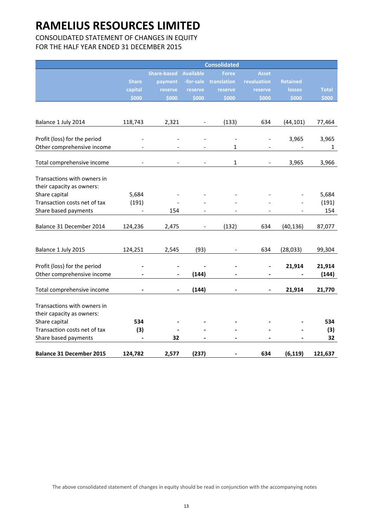## CONSOLIDATED STATEMENT OF CHANGES IN EQUITY FOR THE HALF YEAR ENDED 31 DECEMBER 2015

|                                 |                              |                    |                          | <b>Consolidated</b>      |                          |                          |              |
|---------------------------------|------------------------------|--------------------|--------------------------|--------------------------|--------------------------|--------------------------|--------------|
|                                 |                              | <b>Share-based</b> | <b>Available</b>         | <b>Forex</b>             | <b>Asset</b>             |                          |              |
|                                 | <b>Share</b>                 | payment            | -for-sale                | translation              | revaluation              | <b>Retained</b>          |              |
|                                 | capital                      | reserve            | reserve                  | reserve                  | reserve                  | <b>losses</b>            | <b>Total</b> |
|                                 | \$000                        | \$000              | \$000                    | \$000                    | \$000                    | \$000                    | \$000        |
|                                 |                              |                    |                          |                          |                          |                          |              |
| Balance 1 July 2014             | 118,743                      | 2,321              |                          | (133)                    | 634                      | (44, 101)                | 77,464       |
|                                 |                              |                    |                          |                          |                          |                          |              |
| Profit (loss) for the period    |                              |                    |                          | $\overline{\phantom{a}}$ |                          | 3,965                    | 3,965        |
| Other comprehensive income      |                              |                    |                          | 1                        |                          |                          | $\mathbf{1}$ |
|                                 |                              |                    |                          |                          |                          |                          |              |
| Total comprehensive income      |                              |                    | $\overline{\phantom{a}}$ | $\mathbf{1}$             | $\overline{\phantom{m}}$ | 3,965                    | 3,966        |
| Transactions with owners in     |                              |                    |                          |                          |                          |                          |              |
| their capacity as owners:       |                              |                    |                          |                          |                          |                          |              |
| Share capital                   | 5,684                        |                    |                          |                          |                          |                          | 5,684        |
| Transaction costs net of tax    | (191)                        |                    |                          |                          |                          |                          | (191)        |
| Share based payments            |                              | 154                |                          |                          |                          | $\overline{\phantom{0}}$ | 154          |
|                                 |                              |                    |                          |                          |                          |                          |              |
| Balance 31 December 2014        | 124,236                      | 2,475              |                          | (132)                    | 634                      | (40, 136)                | 87,077       |
|                                 |                              |                    |                          |                          |                          |                          |              |
| Balance 1 July 2015             | 124,251                      | 2,545              | (93)                     | $\overline{a}$           | 634                      | (28, 033)                | 99,304       |
|                                 |                              |                    |                          |                          |                          |                          |              |
| Profit (loss) for the period    |                              |                    |                          |                          | $\blacksquare$           | 21,914                   | 21,914       |
| Other comprehensive income      |                              |                    | (144)                    |                          | $\blacksquare$           |                          | (144)        |
|                                 |                              |                    |                          |                          |                          |                          |              |
| Total comprehensive income      |                              |                    | (144)                    |                          | $\blacksquare$           | 21,914                   | 21,770       |
| Transactions with owners in     |                              |                    |                          |                          |                          |                          |              |
| their capacity as owners:       |                              |                    |                          |                          |                          |                          |              |
| Share capital                   | 534                          |                    |                          |                          |                          |                          | 534          |
| Transaction costs net of tax    | (3)                          |                    |                          |                          |                          |                          | (3)          |
| Share based payments            | $\qquad \qquad \blacksquare$ | 32                 | $\overline{\phantom{0}}$ |                          |                          |                          | 32           |
|                                 |                              |                    |                          |                          |                          |                          |              |
| <b>Balance 31 December 2015</b> | 124,782                      | 2,577              | (237)                    |                          | 634                      | (6, 119)                 | 121,637      |

The above consolidated statement of changes in equity should be read in conjunction with the accompanying notes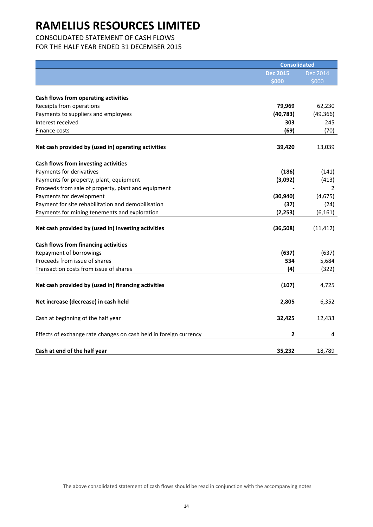## CONSOLIDATED STATEMENT OF CASH FLOWS

FOR THE HALF YEAR ENDED 31 DECEMBER 2015

|                                                                   | <b>Consolidated</b> |                 |
|-------------------------------------------------------------------|---------------------|-----------------|
|                                                                   | <b>Dec 2015</b>     | <b>Dec 2014</b> |
|                                                                   | \$000               | \$000           |
|                                                                   |                     |                 |
| Cash flows from operating activities                              |                     |                 |
| Receipts from operations                                          | 79,969              | 62,230          |
| Payments to suppliers and employees                               | (40, 783)           | (49, 366)       |
| Interest received                                                 | 303                 | 245             |
| Finance costs                                                     | (69)                | (70)            |
| Net cash provided by (used in) operating activities               | 39,420              | 13,039          |
|                                                                   |                     |                 |
| Cash flows from investing activities<br>Payments for derivatives  | (186)               | (141)           |
| Payments for property, plant, equipment                           | (3,092)             | (413)           |
| Proceeds from sale of property, plant and equipment               |                     | 2               |
| Payments for development                                          | (30, 940)           | (4, 675)        |
| Payment for site rehabilitation and demobilisation                | (37)                | (24)            |
| Payments for mining tenements and exploration                     | (2, 253)            | (6, 161)        |
|                                                                   |                     |                 |
| Net cash provided by (used in) investing activities               | (36, 508)           | (11, 412)       |
|                                                                   |                     |                 |
| <b>Cash flows from financing activities</b>                       |                     |                 |
| Repayment of borrowings                                           | (637)               | (637)           |
| Proceeds from issue of shares                                     | 534                 | 5,684           |
| Transaction costs from issue of shares                            | (4)                 | (322)           |
| Net cash provided by (used in) financing activities               | (107)               | 4,725           |
|                                                                   |                     |                 |
| Net increase (decrease) in cash held                              | 2,805               | 6,352           |
| Cash at beginning of the half year                                | 32,425              | 12,433          |
| Effects of exchange rate changes on cash held in foreign currency | 2                   | 4               |
| Cash at end of the half year                                      | 35,232              | 18,789          |

The above consolidated statement of cash flows should be read in conjunction with the accompanying notes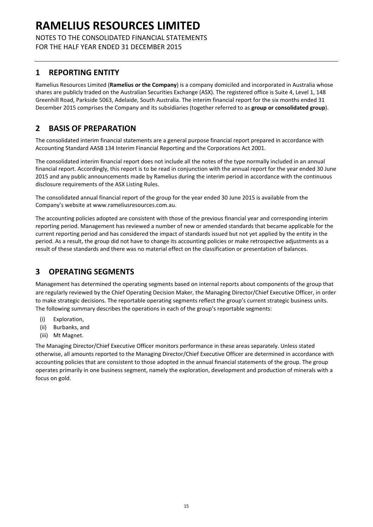NOTES TO THE CONSOLIDATED FINANCIAL STATEMENTS FOR THE HALF YEAR ENDED 31 DECEMBER 2015

## **1 REPORTING ENTITY**

Ramelius Resources Limited (**Ramelius or the Company**) is a company domiciled and incorporated in Australia whose shares are publicly traded on the Australian Securities Exchange (ASX). The registered office is Suite 4, Level 1, 148 Greenhill Road, Parkside 5063, Adelaide, South Australia. The interim financial report for the six months ended 31 December 2015 comprises the Company and its subsidiaries (together referred to as **group or consolidated group**).

## **2 BASIS OF PREPARATION**

The consolidated interim financial statements are a general purpose financial report prepared in accordance with Accounting Standard AASB 134 Interim Financial Reporting and the Corporations Act 2001.

The consolidated interim financial report does not include all the notes of the type normally included in an annual financial report. Accordingly, this report is to be read in conjunction with the annual report for the year ended 30 June 2015 and any public announcements made by Ramelius during the interim period in accordance with the continuous disclosure requirements of the ASX Listing Rules.

The consolidated annual financial report of the group for the year ended 30 June 2015 is available from the Company's website at www.rameliusresources.com.au.

The accounting policies adopted are consistent with those of the previous financial year and corresponding interim reporting period. Management has reviewed a number of new or amended standards that became applicable for the current reporting period and has considered the impact of standards issued but not yet applied by the entity in the period. As a result, the group did not have to change its accounting policies or make retrospective adjustments as a result of these standards and there was no material effect on the classification or presentation of balances.

## **3 OPERATING SEGMENTS**

Management has determined the operating segments based on internal reports about components of the group that are regularly reviewed by the Chief Operating Decision Maker, the Managing Director/Chief Executive Officer, in order to make strategic decisions. The reportable operating segments reflect the group's current strategic business units. The following summary describes the operations in each of the group's reportable segments:

- (i) Exploration,
- (ii) Burbanks, and
- (iii) Mt Magnet.

The Managing Director/Chief Executive Officer monitors performance in these areas separately. Unless stated otherwise, all amounts reported to the Managing Director/Chief Executive Officer are determined in accordance with accounting policies that are consistent to those adopted in the annual financial statements of the group. The group operates primarily in one business segment, namely the exploration, development and production of minerals with a focus on gold.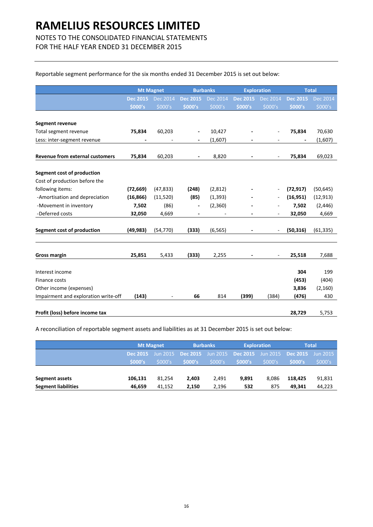## NOTES TO THE CONSOLIDATED FINANCIAL STATEMENTS

FOR THE HALF YEAR ENDED 31 DECEMBER 2015

### Reportable segment performance for the six months ended 31 December 2015 is set out below:

|                                        | <b>Mt Magnet</b> |           | <b>Burbanks</b>          |          | <b>Exploration</b>       |                          |                 | <b>Total</b> |
|----------------------------------------|------------------|-----------|--------------------------|----------|--------------------------|--------------------------|-----------------|--------------|
|                                        | <b>Dec 2015</b>  | Dec 2014  | <b>Dec 2015</b>          | Dec 2014 | <b>Dec 2015</b>          | <b>Dec 2014</b>          | <b>Dec 2015</b> | Dec 2014     |
|                                        | \$000's          | \$000's   | \$000's                  | \$000's  | \$000's                  | \$000's                  | \$000's         | \$000's      |
| <b>Segment revenue</b>                 |                  |           |                          |          |                          |                          |                 |              |
| Total segment revenue                  | 75,834           | 60,203    | $\overline{\phantom{a}}$ | 10,427   |                          | ÷,                       | 75,834          | 70,630       |
| Less: inter-segment revenue            |                  |           |                          | (1,607)  |                          |                          |                 | (1,607)      |
| <b>Revenue from external customers</b> | 75,834           | 60,203    | $\overline{\phantom{a}}$ | 8,820    | $\overline{\phantom{a}}$ | $\overline{\phantom{a}}$ | 75,834          | 69,023       |
| Segment cost of production             |                  |           |                          |          |                          |                          |                 |              |
| Cost of production before the          |                  |           |                          |          |                          |                          |                 |              |
| following items:                       | (72, 669)        | (47, 833) | (248)                    | (2,812)  |                          |                          | (72, 917)       | (50, 645)    |
| -Amortisation and depreciation         | (16, 866)        | (11,520)  | (85)                     | (1, 393) |                          |                          | (16, 951)       | (12, 913)    |
| -Movement in inventory                 | 7,502            | (86)      | $\overline{\phantom{a}}$ | (2,360)  |                          |                          | 7,502           | (2, 446)     |
| -Deferred costs                        | 32,050           | 4,669     |                          |          |                          |                          | 32,050          | 4,669        |
| <b>Segment cost of production</b>      | (49, 983)        | (54, 770) | (333)                    | (6, 565) |                          |                          | (50, 316)       | (61, 335)    |
|                                        |                  |           |                          |          |                          |                          |                 |              |
| <b>Gross margin</b>                    | 25,851           | 5,433     | (333)                    | 2,255    |                          |                          | 25,518          | 7,688        |
| Interest income                        |                  |           |                          |          |                          |                          | 304             | 199          |
| Finance costs                          |                  |           |                          |          |                          |                          | (453)           | (404)        |
| Other income (expenses)                |                  |           |                          |          |                          |                          | 3,836           | (2, 160)     |
| Impairment and exploration write-off   | (143)            |           | 66                       | 814      | (399)                    | (384)                    | (476)           | 430          |
|                                        |                  |           |                          |          |                          |                          |                 |              |
| Profit (loss) before income tax        |                  |           |                          |          |                          |                          | 28,729          | 5,753        |

A reconciliation of reportable segment assets and liabilities as at 31 December 2015 is set out below:

|                            |                 | <b>Mt Magnet</b>       |                   | <b>Burbanks</b> |                          | <b>Exploration</b> |          | <b>Total</b> |  |
|----------------------------|-----------------|------------------------|-------------------|-----------------|--------------------------|--------------------|----------|--------------|--|
|                            | <b>Dec 2015</b> | $\frac{1}{2}$ Jun 2015 | Dec 2015 Jun 2015 |                 | <b>Dec 2015</b> Jun 2015 |                    | Dec 2015 | Jun 2015     |  |
|                            | \$000's         | \$000's                | \$000's           | \$000's         | \$000's                  | \$000's            | \$000's  | \$000's      |  |
|                            |                 |                        |                   |                 |                          |                    |          |              |  |
| Segment assets             | 106,131         | 81.254                 | 2,403             | 2.491           | 9.891                    | 8.086              | 118.425  | 91,831       |  |
| <b>Segment liabilities</b> | 46.659          | 41.152                 | 2.150             | 2.196           | 532                      | 875                | 49.341   | 44,223       |  |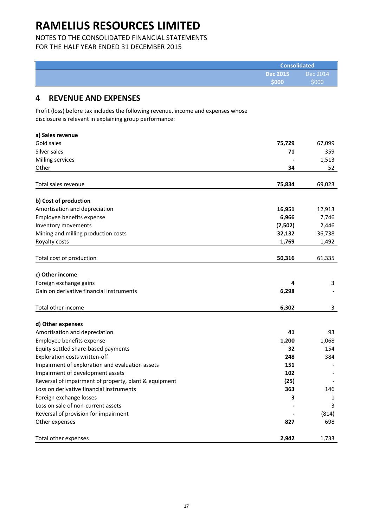## NOTES TO THE CONSOLIDATED FINANCIAL STATEMENTS

FOR THE HALF YEAR ENDED 31 DECEMBER 2015

|                 | <b>Consolidated</b>      |  |  |
|-----------------|--------------------------|--|--|
| <b>Dec 2015</b> | $\blacksquare$ Dec 2014' |  |  |
| \$000           | \$000                    |  |  |

## **4 REVENUE AND EXPENSES**

Profit (loss) before tax includes the following revenue, income and expenses whose disclosure is relevant in explaining group performance:

| a) Sales revenue                                                                                  |             |        |
|---------------------------------------------------------------------------------------------------|-------------|--------|
| Gold sales                                                                                        | 75,729      | 67,099 |
| Silver sales                                                                                      | 71          | 359    |
| Milling services                                                                                  |             | 1,513  |
| Other                                                                                             | 34          | 52     |
|                                                                                                   |             |        |
| Total sales revenue                                                                               | 75,834      | 69,023 |
| b) Cost of production                                                                             |             |        |
| Amortisation and depreciation                                                                     | 16,951      | 12,913 |
| Employee benefits expense                                                                         | 6,966       | 7,746  |
| Inventory movements                                                                               | (7,502)     | 2,446  |
| Mining and milling production costs                                                               | 32,132      | 36,738 |
| Royalty costs                                                                                     | 1,769       | 1,492  |
|                                                                                                   |             |        |
| Total cost of production                                                                          | 50,316      | 61,335 |
| c) Other income                                                                                   |             |        |
| Foreign exchange gains                                                                            | 4           | 3      |
| Gain on derivative financial instruments                                                          | 6,298       |        |
|                                                                                                   |             |        |
| Total other income                                                                                | 6,302       | 3      |
|                                                                                                   |             |        |
| d) Other expenses                                                                                 |             |        |
| Amortisation and depreciation                                                                     | 41          | 93     |
| Employee benefits expense                                                                         | 1,200       | 1,068  |
| Equity settled share-based payments                                                               | 32<br>248   | 154    |
| Exploration costs written-off                                                                     |             | 384    |
| Impairment of exploration and evaluation assets                                                   | 151         |        |
| Impairment of development assets                                                                  | 102         |        |
| Reversal of impairment of property, plant & equipment<br>Loss on derivative financial instruments | (25)<br>363 |        |
|                                                                                                   |             | 146    |
| Foreign exchange losses                                                                           | 3           | 1      |
| Loss on sale of non-current assets                                                                |             | 3      |
| Reversal of provision for impairment                                                              |             | (814)  |
| Other expenses                                                                                    | 827         | 698    |
| Total other expenses                                                                              | 2,942       | 1,733  |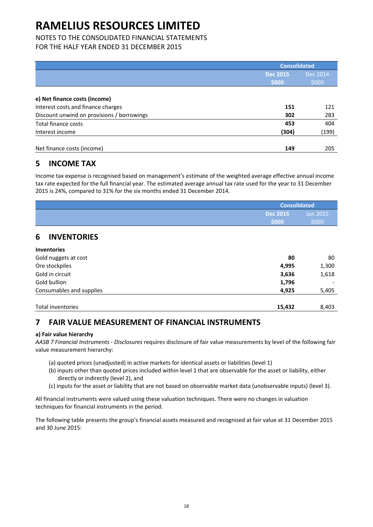## NOTES TO THE CONSOLIDATED FINANCIAL STATEMENTS

FOR THE HALF YEAR ENDED 31 DECEMBER 2015

|                                            |                          | <b>Consolidated</b> |  |  |
|--------------------------------------------|--------------------------|---------------------|--|--|
|                                            | <b>Dec 2015</b><br>\$000 | Dec 2014<br>\$000   |  |  |
| e) Net finance costs (income)              |                          |                     |  |  |
| Interest costs and finance charges         | 151                      | 121                 |  |  |
| Discount unwind on provisions / borrowings | 302                      | 283                 |  |  |
| Total finance costs                        | 453                      | 404                 |  |  |
| Interest income                            | (304)                    | (199)               |  |  |
| Net finance costs (income)                 | 149                      | 205                 |  |  |

## **5 INCOME TAX**

Income tax expense is recognised based on management's estimate of the weighted average effective annual income tax rate expected for the full financial year. The estimated average annual tax rate used for the year to 31 December 2015 is 24%, compared to 31% for the six months ended 31 December 2014.

| <b>Consolidated</b> |          |  |
|---------------------|----------|--|
| <b>Dec 2015</b>     | Jun 2015 |  |
| <b>S000</b>         | \$000    |  |

## **6 INVENTORIES**

| <b>Inventories</b>       |        |       |
|--------------------------|--------|-------|
| Gold nuggets at cost     | 80     | 80    |
| Ore stockpiles           | 4,995  | 1,300 |
| Gold in circuit          | 3,636  | 1,618 |
| Gold bullion             | 1,796  |       |
| Consumables and supplies | 4,925  | 5,405 |
|                          |        |       |
| Total inventories        | 15,432 | 8.403 |

## **7 FAIR VALUE MEASUREMENT OF FINANCIAL INSTRUMENTS**

## **a) Fair value hierarchy**

*AASB 7 Financial Instruments ‐ Disclosures* requires disclosure of fair value measurements by level of the following fair value measurement hierarchy:

- (a) quoted prices (unadjusted) in active markets for identical assets or liabilities (level 1)
- (b) inputs other than quoted prices included within level 1 that are observable for the asset or liability, either directly or indirectly (level 2), and
- (c) inputs for the asset or liability that are not based on observable market data (unobservable inputs) (level 3).

All financial instruments were valued using these valuation techniques. There were no changes in valuation techniques for financial instruments in the period.

The following table presents the group's financial assets measured and recognised at fair value at 31 December 2015 and 30 June 2015: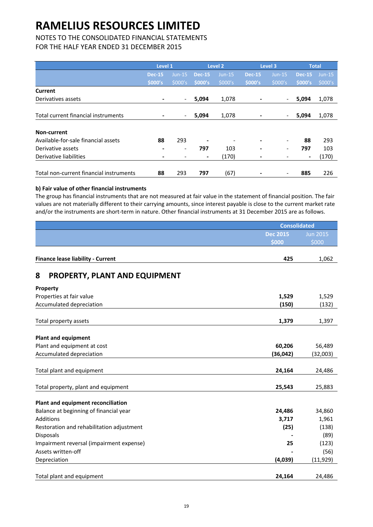## NOTES TO THE CONSOLIDATED FINANCIAL STATEMENTS

FOR THE HALF YEAR ENDED 31 DECEMBER 2015

|                                         | Level 1       |                          | Level 2                  |          | Level 3       |                          | <b>Total</b>   |          |
|-----------------------------------------|---------------|--------------------------|--------------------------|----------|---------------|--------------------------|----------------|----------|
|                                         | <b>Dec-15</b> | $Jun-15$                 | <b>Dec-15</b>            | $Jun-15$ | <b>Dec-15</b> | $Jun-15$                 | <b>Dec-15</b>  | $Jun-15$ |
|                                         | \$000's       | \$000's                  | \$000's                  | \$000's  | \$000's       | \$000's                  | \$000's        | \$000's  |
| Current                                 |               |                          |                          |          |               |                          |                |          |
| Derivatives assets                      |               | $\overline{\phantom{a}}$ | 5,094                    | 1,078    |               | $\overline{\phantom{a}}$ | 5,094          | 1,078    |
|                                         |               |                          |                          |          |               |                          |                |          |
| Total current financial instruments     |               | $\overline{\phantom{a}}$ | 5,094                    | 1,078    |               | $\overline{\phantom{a}}$ | 5,094          | 1,078    |
| Non-current                             |               |                          |                          |          |               |                          |                |          |
|                                         |               |                          |                          |          |               |                          |                |          |
| Available-for-sale financial assets     | 88            | 293                      | $\overline{\phantom{a}}$ |          |               | $\overline{\phantom{a}}$ | 88             | 293      |
| Derivative assets                       |               | $\overline{\phantom{a}}$ | 797                      | 103      | ٠             | $\overline{\phantom{a}}$ | 797            | 103      |
| Derivative liabilities                  |               |                          | $\blacksquare$           | (170)    |               |                          | $\blacksquare$ | (170)    |
| Total non-current financial instruments | 88            | 293                      | 797                      | (67)     |               |                          | 885            | 226      |

## **b) Fair value of other financial instruments**

The group has financial instruments that are not measured at fair value in the statement of financial position. The fair values are not materially different to their carrying amounts, since interest payable is close to the current market rate and/or the instruments are short-term in nature. Other financial instruments at 31 December 2015 are as follows.

|                                           | <b>Consolidated</b> |                 |
|-------------------------------------------|---------------------|-----------------|
|                                           | <b>Dec 2015</b>     | <b>Jun 2015</b> |
|                                           | \$000               | \$000           |
| <b>Finance lease liability - Current</b>  | 425                 | 1,062           |
| PROPERTY, PLANT AND EQUIPMENT<br>8        |                     |                 |
| Property                                  |                     |                 |
| Properties at fair value                  | 1,529               | 1,529           |
| Accumulated depreciation                  | (150)               | (132)           |
| Total property assets                     | 1,379               | 1,397           |
|                                           |                     |                 |
| <b>Plant and equipment</b>                |                     |                 |
| Plant and equipment at cost               | 60,206              | 56,489          |
| Accumulated depreciation                  | (36, 042)           | (32,003)        |
| Total plant and equipment                 | 24,164              | 24,486          |
| Total property, plant and equipment       | 25,543              | 25,883          |
| Plant and equipment reconciliation        |                     |                 |
| Balance at beginning of financial year    | 24,486              | 34,860          |
| <b>Additions</b>                          | 3,717               | 1,961           |
| Restoration and rehabilitation adjustment | (25)                | (138)           |
| <b>Disposals</b>                          |                     | (89)            |
| Impairment reversal (impairment expense)  | 25                  | (123)           |
| Assets written-off                        |                     | (56)            |
| Depreciation                              | (4,039)             | (11, 929)       |
| Total plant and equipment                 | 24,164              | 24,486          |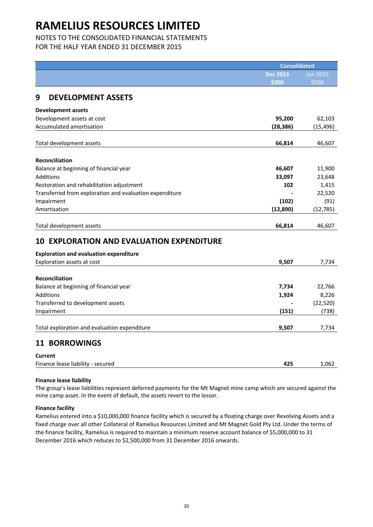NOTES TO THE CONSOLIDATED FINANCIAL STATEMENTS

FOR THE HALF YEAR ENDED 31 DECEMBER 2015

|                                                         | Consolidated    |                 |
|---------------------------------------------------------|-----------------|-----------------|
|                                                         | <b>Dec 2015</b> | <b>Jun 2015</b> |
|                                                         | \$000           | \$000           |
| 9<br><b>DEVELOPMENT ASSETS</b>                          |                 |                 |
|                                                         |                 |                 |
| <b>Development assets</b>                               |                 |                 |
| Development assets at cost                              | 95,200          | 62,103          |
| Accumulated amortisation                                | (28, 386)       | (15, 496)       |
| Total development assets                                | 66,814          | 46,607          |
|                                                         |                 |                 |
| <b>Reconciliation</b>                                   |                 |                 |
| Balance at beginning of financial year                  | 46,607          | 11,900          |
| <b>Additions</b>                                        | 33,097          | 23,648          |
| Restoration and rehabilitation adjustment               | 102             | 1,415           |
| Transferred from exploration and evaluation expenditure |                 | 22,520          |
| Impairment                                              | (102)           | (91)            |
| Amortisation                                            | (12, 890)       | (12, 785)       |
|                                                         |                 |                 |
| Total development assets                                | 66,814          | 46,607          |
| <b>EXPLORATION AND EVALUATION EXPENDITURE</b><br>10     |                 |                 |
|                                                         |                 |                 |
| <b>Exploration and evaluation expenditure</b>           | 9,507           | 7,734           |
| Exploration assets at cost                              |                 |                 |
| <b>Reconciliation</b>                                   |                 |                 |
| Balance at beginning of financial year                  | 7,734           | 22,766          |
| <b>Additions</b>                                        | 1,924           | 8,226           |
| Transferred to development assets                       |                 | (22, 520)       |
| Impairment                                              | (151)           | (738)           |
|                                                         |                 |                 |
| Total exploration and evaluation expenditure            | 9,507           | 7,734           |
| <b>11 BORROWINGS</b>                                    |                 |                 |
|                                                         |                 |                 |
| <b>Current</b>                                          |                 |                 |
| Finance lease liability - secured                       | 425             | 1,062           |

## **Finance lease liability**

The group's lease liabilities represent deferred payments for the Mt Magnet mine camp which are secured against the mine camp asset. In the event of default, the assets revert to the lessor.

## **Finance facility**

Ramelius entered into a \$10,000,000 finance facility which is secured by a floating charge over Revolving Assets and a fixed charge over all other Collateral of Ramelius Resources Limited and Mt Magnet Gold Pty Ltd. Under the terms of the finance facility, Ramelius is required to maintain a minimum reserve account balance of \$5,000,000 to 31 December 2016 which reduces to \$2,500,000 from 31 December 2016 onwards.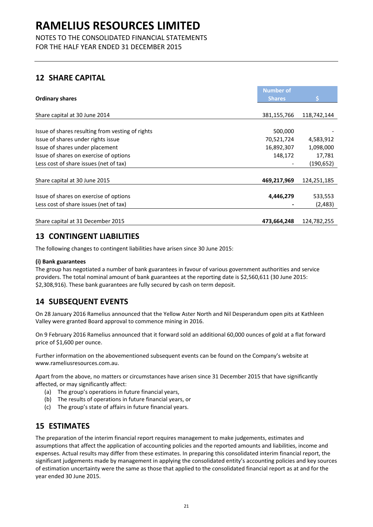NOTES TO THE CONSOLIDATED FINANCIAL STATEMENTS FOR THE HALF YEAR ENDED 31 DECEMBER 2015

## **12 SHARE CAPITAL**

|                                                  | <b>Number of</b> |             |
|--------------------------------------------------|------------------|-------------|
| <b>Ordinary shares</b>                           | <b>Shares</b>    |             |
|                                                  |                  |             |
| Share capital at 30 June 2014                    | 381,155,766      | 118,742,144 |
|                                                  |                  |             |
| Issue of shares resulting from vesting of rights | 500,000          |             |
| Issue of shares under rights issue               | 70,521,724       | 4,583,912   |
| Issue of shares under placement                  | 16,892,307       | 1,098,000   |
| Issue of shares on exercise of options           | 148,172          | 17,781      |
| Less cost of share issues (net of tax)           |                  | (190, 652)  |
|                                                  |                  |             |
| Share capital at 30 June 2015                    | 469,217,969      | 124,251,185 |
|                                                  |                  |             |
| Issue of shares on exercise of options           | 4,446,279        | 533,553     |
| Less cost of share issues (net of tax)           |                  | (2,483)     |
|                                                  |                  |             |
| Share capital at 31 December 2015                | 473,664,248      | 124,782,255 |

## **13 CONTINGENT LIABILITIES**

The following changes to contingent liabilities have arisen since 30 June 2015:

## **(i) Bank guarantees**

The group has negotiated a number of bank guarantees in favour of various government authorities and service providers. The total nominal amount of bank guarantees at the reporting date is \$2,560,611 (30 June 2015: \$2,308,916). These bank guarantees are fully secured by cash on term deposit.

## **14 SUBSEQUENT EVENTS**

On 28 January 2016 Ramelius announced that the Yellow Aster North and Nil Desperandum open pits at Kathleen Valley were granted Board approval to commence mining in 2016.

On 9 February 2016 Ramelius announced that it forward sold an additional 60,000 ounces of gold at a flat forward price of \$1,600 per ounce.

Further information on the abovementioned subsequent events can be found on the Company's website at www.rameliusresources.com.au.

Apart from the above, no matters or circumstances have arisen since 31 December 2015 that have significantly affected, or may significantly affect:

- (a) The group's operations in future financial years,
- (b) The results of operations in future financial years, or
- (c) The group's state of affairs in future financial years.

## **15 ESTIMATES**

The preparation of the interim financial report requires management to make judgements, estimates and assumptions that affect the application of accounting policies and the reported amounts and liabilities, income and expenses. Actual results may differ from these estimates. In preparing this consolidated interim financial report, the significant judgements made by management in applying the consolidated entity's accounting policies and key sources of estimation uncertainty were the same as those that applied to the consolidated financial report as at and for the year ended 30 June 2015.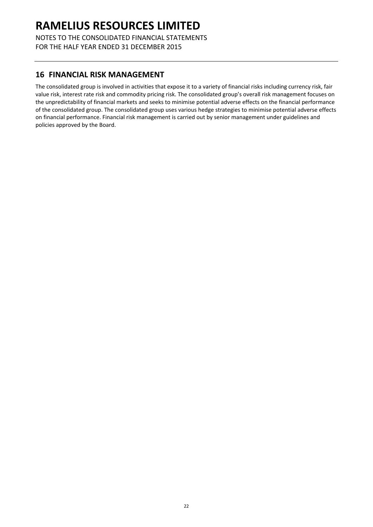NOTES TO THE CONSOLIDATED FINANCIAL STATEMENTS FOR THE HALF YEAR ENDED 31 DECEMBER 2015

## **16 FINANCIAL RISK MANAGEMENT**

The consolidated group is involved in activities that expose it to a variety of financial risks including currency risk, fair value risk, interest rate risk and commodity pricing risk. The consolidated group's overall risk management focuses on the unpredictability of financial markets and seeks to minimise potential adverse effects on the financial performance of the consolidated group. The consolidated group uses various hedge strategies to minimise potential adverse effects on financial performance. Financial risk management is carried out by senior management under guidelines and policies approved by the Board.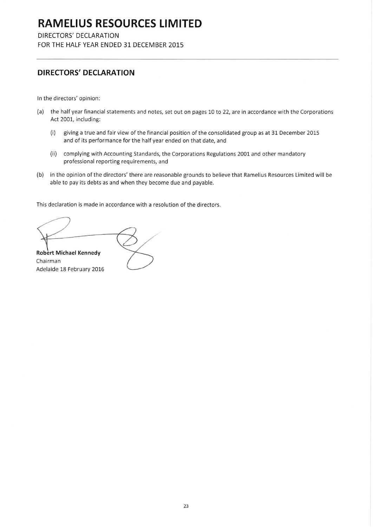DIRECTORS' DECLARATION

FOR THE HALF YEAR ENDED 31 DECEMBER 2015

## DIRECTORS' DECLARATION

In the directors' opinion:

- (a) the half year financial statements and notes, set out on pages 10 to 22, are in accordance with the Corporations Act 2001, including:
	- giving a true and fair view of the financial position of the consolidated group as at 31 December 2015  $(i)$ and of its performance for the half year ended on that date, and
	- (ii) complying with Accounting Standards, the Corporations Regulations 2001 and other mandatory professional reporting requirements, and
- (b) in the opinion of the directors' there are reasonable grounds to believe that Ramelius Resources Limited will be able to pay its debts as and when they become due and payable.

This declaration is made in accordance with a resolution of the directors.

Robert Michael Kennedy Chairman Adelaide 18 February 2016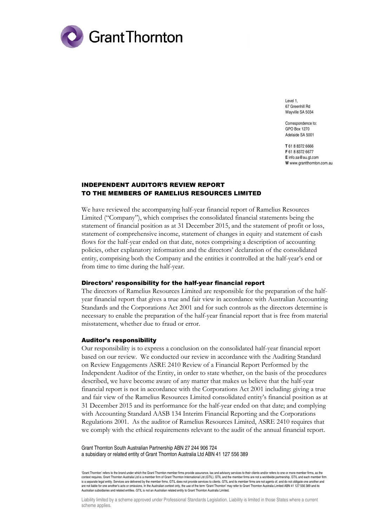

Level 1, 67 Greenhill Rd Wayville SA 5034

Correspondence to: GPO Box 1270 Adelaide SA 5001

**T** 61 8 8372 6666 **F** 61 8 8372 6677 **E** info.sa@au.gt.com **W** www.grantthornton.com.au

### INDEPENDENT AUDITOR'S REVIEW REPORT TO THE MEMBERS OF RAMELIUS RESOURCES LIMITED

We have reviewed the accompanying half-year financial report of Ramelius Resources Limited ("Company"), which comprises the consolidated financial statements being the statement of financial position as at 31 December 2015, and the statement of profit or loss, statement of comprehensive income, statement of changes in equity and statement of cash flows for the half-year ended on that date, notes comprising a description of accounting policies, other explanatory information and the directors' declaration of the consolidated entity, comprising both the Company and the entities it controlled at the half-year's end or from time to time during the half-year.

### Directors' responsibility for the half-year financial report

The directors of Ramelius Resources Limited are responsible for the preparation of the halfyear financial report that gives a true and fair view in accordance with Australian Accounting Standards and the Corporations Act 2001 and for such controls as the directors determine is necessary to enable the preparation of the half-year financial report that is free from material misstatement, whether due to fraud or error.

#### Auditor's responsibility

Our responsibility is to express a conclusion on the consolidated half-year financial report based on our review. We conducted our review in accordance with the Auditing Standard on Review Engagements ASRE 2410 Review of a Financial Report Performed by the Independent Auditor of the Entity, in order to state whether, on the basis of the procedures described, we have become aware of any matter that makes us believe that the half-year financial report is not in accordance with the Corporations Act 2001 including: giving a true and fair view of the Ramelius Resources Limited consolidated entity's financial position as at 31 December 2015 and its performance for the half-year ended on that date; and complying with Accounting Standard AASB 134 Interim Financial Reporting and the Corporations Regulations 2001. As the auditor of Ramelius Resources Limited, ASRE 2410 requires that we comply with the ethical requirements relevant to the audit of the annual financial report.

Grant Thornton South Australian Partnership ABN 27 244 906 724 a subsidiary or related entity of Grant Thornton Australia Ltd ABN 41 127 556 389

'Grant Thornton' refers to the brand under which the Grant Thornton member firms provide assurance, tax and advisory services to their clients and/or refers to one or more member firms, as the context requires. Grant Thornton Australia Ltd is a member firm of Grant Thornton International Ltd (GTIL). GTIL and the member firms are not a worldwide partnership. GTIL and each member firm is a separate legal entity. Services are delivered by the member firms. GTIL does not provide services to clients. GTIL and its member firms are not agents of, and do not obligate one another and are not liable for one another's acts or omissions. In the Australian context only, the use of the term 'Grant Thornton' may refer to Grant Thornton Australia Limited ABN 41 127 556 389 and its Australian subsidiaries and related entities. GTIL is not an Australian related entity to Grant Thornton Australia Limited.

Liability limited by a scheme approved under Professional Standards Legislation. Liability is limited in those States where a current scheme applies.